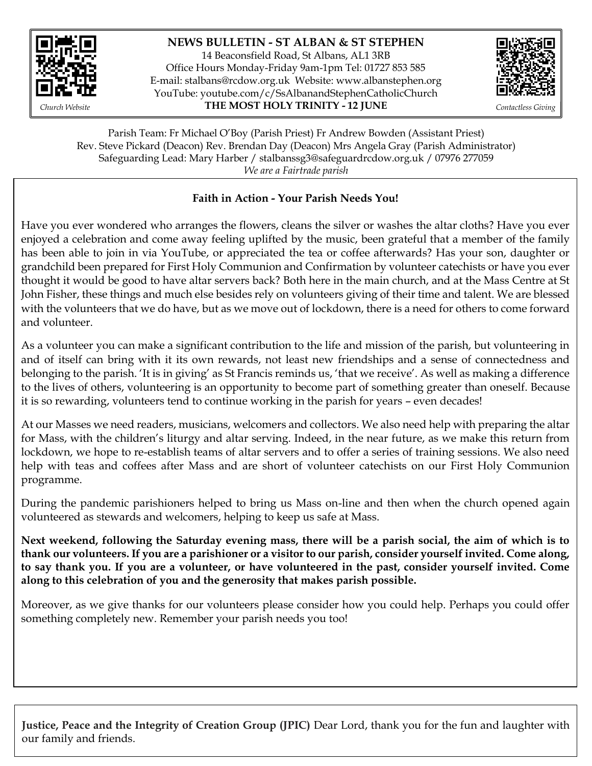

## **NEWS BULLETIN - ST ALBAN & ST STEPHEN**

14 Beaconsfield Road, St Albans, AL1 3RB Office Hours Monday-Friday 9am-1pm Tel: 01727 853 585 E-mail: [stalbans@rcdow.org.uk](mailto:stalbans@rcdow.org.uk) Website: www.albanstephen.org YouTube: youtube.com/c/SsAlbanandStephenCatholicChurch *Church Website* **THE MOST HOLY TRINITY - 12 JUNE** *Contactless Giving*



Parish Team: Fr Michael O'Boy (Parish Priest) Fr Andrew Bowden (Assistant Priest) Rev. Steve Pickard (Deacon) Rev. Brendan Day (Deacon) Mrs Angela Gray (Parish Administrator) Safeguarding Lead: Mary Harber / stalbanssg3@safeguardrcdow.org.uk / 07976 277059 *We are a Fairtrade parish*

### Faith in Action - Your Parish Needs You!

Have you ever wondered who arranges the flowers, cleans the silver or washes the altar cloths? Have you ever enjoyed a celebration and come away feeling uplifted by the music, been grateful that a member of the family has been able to join in via YouTube, or appreciated the tea or coffee afterwards? Has your son, daughter or grandchild been prepared for First Holy Communion and Confirmation by volunteer catechists or have you ever thought it would be good to have altar servers back? Both here in the main church, and at the Mass Centre at St John Fisher, these things and much else besides rely on volunteers giving of their time and talent. We are blessed with the volunteers that we do have, but as we move out of lockdown, there is a need for others to come forward and volunteer.

As a volunteer you can make a significant contribution to the life and mission of the parish, but volunteering in and of itself can bring with it its own rewards, not least new friendships and a sense of connectedness and belonging to the parish. 'It is in giving' as St Francis reminds us, 'that we receive'. As well as making a difference to the lives of others, volunteering is an opportunity to become part of something greater than oneself. Because it is so rewarding, volunteers tend to continue working in the parish for years – even decades!

At our Masses we need readers, musicians, welcomers and collectors. We also need help with preparing the altar for Mass, with the children's liturgy and altar serving. Indeed, in the near future, as we make this return from lockdown, we hope to re-establish teams of altar servers and to offer a series of training sessions. We also need help with teas and coffees after Mass and are short of volunteer catechists on our First Holy Communion programme.

During the pandemic parishioners helped to bring us Mass on-line and then when the church opened again volunteered as stewards and welcomers, helping to keep us safe at Mass.

**Next weekend, following the Saturday evening mass, there will be a parish social, the aim of which is to thank our volunteers. If you are a parishioner or a visitor to our parish, consider yourself invited. Come along, to say thank you. If you are a volunteer, or have volunteered in the past, consider yourself invited. Come along to this celebration of you and the generosity that makes parish possible.**

Moreover, as we give thanks for our volunteers please consider how you could help. Perhaps you could offer something completely new. Remember your parish needs you too!

**Justice, Peace and the Integrity of Creation Group (JPIC)** Dear Lord, thank you for the fun and laughter with our family and friends.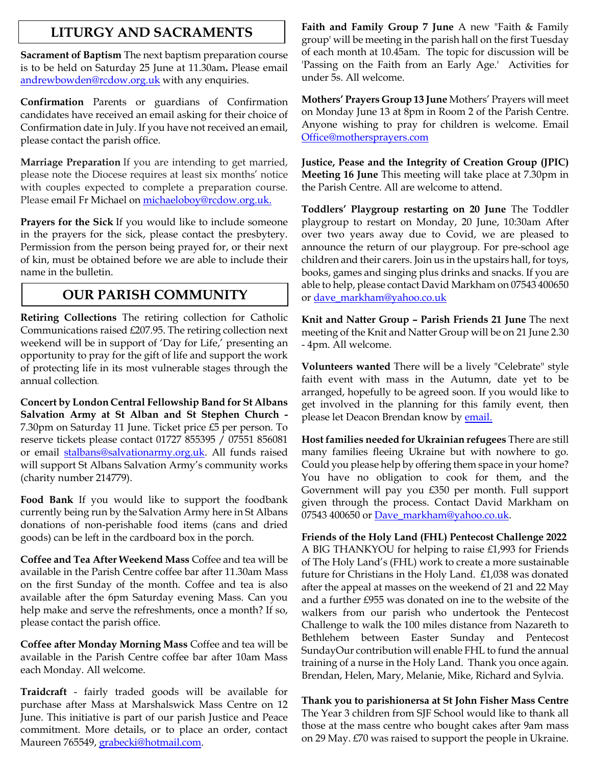## **LITURGY AND SACRAMENTS**

**Sacrament of Baptism** The next baptism preparation course is to be held on Saturday 25 June at 11.30am**.** Please email [andrewbowden@rcdow.org.uk](mailto:andrewbowden@rcdow.org.uk) with any enquiries.

**Confirmation** Parents or guardians of Confirmation candidates have received an email asking for their choice of Confirmation date in July. If you have not received an email, please contact the parish office.

**Marriage Preparation** If you are intending to get married, please note the Diocese requires at least six months' notice with couples expected to complete a preparation course. Please email Fr Michael on [michaeloboy@rcdow.org.uk.](mailto:michaeloboy@rcdow.org.uk)

**Prayers for the Sick** If you would like to include someone in the prayers for the sick, please contact the presbytery. Permission from the person being prayed for, or their next of kin, must be obtained before we are able to include their name in the bulletin.

## **OUR PARISH COMMUNITY**

**Retiring Collections** The retiring collection for Catholic Communications raised £207.95. The retiring collection next weekend will be in support of 'Day for Life,' presenting an opportunity to pray for the gift of life and support the work of protecting life in its most vulnerable stages through the annual collection.

**Concert by London Central Fellowship Band for St Albans Salvation Army at St Alban and St Stephen Church -** 7.30pm on Saturday 11 June. Ticket price £5 per person. To reserve tickets please contact 01727 855395 / 07551 856081 or email [stalbans@salvationarmy.org.uk.](mailto:stalbans@salvationarmy.org.uk) All funds raised will support St Albans Salvation Army's community works (charity number 214779).

**Food Bank** If you would like to support the foodbank currently being run by the Salvation Army here in St Albans donations of non-perishable food items (cans and dried goods) can be left in the cardboard box in the porch.

**Coffee and Tea After Weekend Mass** Coffee and tea will be available in the Parish Centre coffee bar after 11.30am Mass on the first Sunday of the month. Coffee and tea is also available after the 6pm Saturday evening Mass. Can you help make and serve the refreshments, once a month? If so, please contact the parish office.

**Coffee after Monday Morning Mass** Coffee and tea will be available in the Parish Centre coffee bar after 10am Mass each Monday. All welcome.

**Traidcraft** - fairly traded goods will be available for purchase after Mass at Marshalswick Mass Centre on 12 June. This initiative is part of our parish Justice and Peace commitment. More details, or to place an order, contact Maureen 765549, [grabecki@hotmail.com.](mailto:grabecki@hotmail.com)

**Faith and Family Group 7 June** A new "Faith & Family group' will be meeting in the parish hall on the first Tuesday of each month at 10.45am. The topic for discussion will be 'Passing on the Faith from an Early Age.' Activities for under 5s. All welcome.

**Mothers' Prayers Group 13 June** Mothers' Prayers will meet on Monday June 13 at 8pm in Room 2 of the Parish Centre. Anyone wishing to pray for children is welcome. Email [Office@mothersprayers.com](mailto:Office@mothersprayers.com)

**Justice, Pease and the Integrity of Creation Group (JPIC) Meeting 16 June** This meeting will take place at 7.30pm in the Parish Centre. All are welcome to attend.

**Toddlers' Playgroup restarting on 20 June** The Toddler playgroup to restart on Monday, 20 June, 10:30am After over two years away due to Covid, we are pleased to announce the return of our playgroup. For pre-school age children and their carers. Join us in the upstairs hall, for toys, books, games and singing plus drinks and snacks. If you are able to help, please contact David Markham on 07543 400650 or [dave\\_markham@yahoo.co.uk](mailto:dave_markham@yahoo.co.uk)

**Knit and Natter Group – Parish Friends 21 June** The next meeting of the Knit and Natter Group will be on 21 June 2.30 - 4pm. All welcome.

**Volunteers wanted** There will be a lively "Celebrate" style faith event with mass in the Autumn, date yet to be arranged, hopefully to be agreed soon. If you would like to get involved in the planning for this family event, then please let Deacon Brendan know b[y email.](mailto:brendanday@rcdow.org.uk)

**Host families needed for Ukrainian refugees** There are still many families fleeing Ukraine but with nowhere to go. Could you please help by offering them space in your home? You have no obligation to cook for them, and the Government will pay you £350 per month. Full support given through the process. Contact David Markham on 07543 400650 or [Dave\\_markham@yahoo.co.uk.](mailto:Dave_markham@yahoo.co.uk)

**Friends of the Holy Land (FHL) Pentecost Challenge 2022** A BIG THANKYOU for helping to raise £1,993 for Friends of The Holy Land's (FHL) work to create a more sustainable future for Christians in the Holy Land. £1,038 was donated after the appeal at masses on the weekend of 21 and 22 May and a further £955 was donated on ine to the website of the walkers from our parish who undertook the Pentecost Challenge to walk the 100 miles distance from Nazareth to Bethlehem between Easter Sunday and Pentecost SundayOur contribution will enable FHL to fund the annual training of a nurse in the Holy Land. Thank you once again. Brendan, Helen, Mary, Melanie, Mike, Richard and Sylvia.

# **Thank you to parishionersa at St John Fisher Mass Centre**

The Year 3 children from SJF School would like to thank all those at the mass centre who bought cakes after 9am mass on 29 May. £70 was raised to support the people in Ukraine.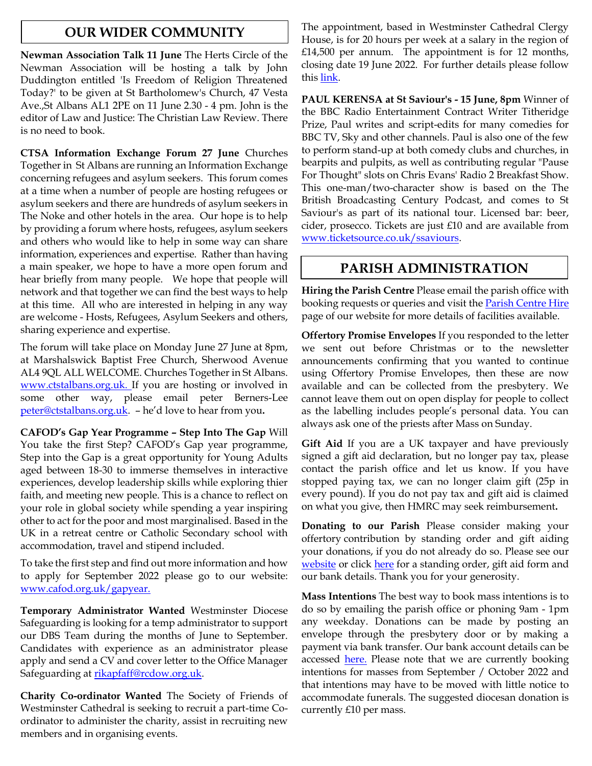## **OUR WIDER COMMUNITY**

**Newman Association Talk 11 June** The Herts Circle of the Newman Association will be hosting a talk by John Duddington entitled 'Is Freedom of Religion Threatened Today?' to be given at St Bartholomew's Church, 47 Vesta Ave.,St Albans AL1 2PE on 11 June 2.30 - 4 pm. John is the editor of Law and Justice: The Christian Law Review. There is no need to book.

**CTSA Information Exchange Forum 27 June** Churches Together in St Albans are running an Information Exchange concerning refugees and asylum seekers. This forum comes at a time when a number of people are hosting refugees or asylum seekers and there are hundreds of asylum seekers in The Noke and other hotels in the area. Our hope is to help by providing a forum where hosts, refugees, asylum seekers and others who would like to help in some way can share information, experiences and expertise. Rather than having a main speaker, we hope to have a more open forum and hear briefly from many people. We hope that people will network and that together we can find the best ways to help at this time. All who are interested in helping in any way are welcome - Hosts, Refugees, Asylum Seekers and others, sharing experience and expertise.

The forum will take place on Monday June 27 June at 8pm, at Marshalswick Baptist Free Church, Sherwood Avenue AL4 9QL ALL WELCOME. Churches Together in St Albans. [www.ctstalbans.org.uk.](http://www.ctstalbans.org.uk/) If you are hosting or involved in some other way, please email peter Berners-Lee [peter@ctstalbans.org.uk.](mailto:peter@ctstalbans.org.uk) – he'd love to hear from you**.**

**CAFOD's Gap Year Programme – Step Into The Gap** Will You take the first Step? CAFOD's Gap year programme, Step into the Gap is a great opportunity for Young Adults aged between 18-30 to immerse themselves in interactive experiences, develop leadership skills while exploring thier faith, and meeting new people. This is a chance to reflect on your role in global society while spending a year inspiring other to act for the poor and most marginalised. Based in the UK in a retreat centre or Catholic Secondary school with accommodation, travel and stipend included.

To take the first step and find out more information and how to apply for September 2022 please go to our website: www.cafod.org.uk/gapyear.

**Temporary Administrator Wanted** Westminster Diocese Safeguarding is looking for a temp administrator to support our DBS Team during the months of June to September. Candidates with experience as an administrator please apply and send a CV and cover letter to the Office Manager Safeguarding at [rikapfaff@rcdow.org.uk.](mailto:rikapfaff@rcdow.org.uk)

**Charity Co-ordinator Wanted** The Society of Friends of Westminster Cathedral is seeking to recruit a part-time Coordinator to administer the charity, assist in recruiting new members and in organising events.

The appointment, based in Westminster Cathedral Clergy House, is for 20 hours per week at a salary in the region of £14,500 per annum. The appointment is for 12 months, closing date 19 June 2022. For further details please follow thi[s link.](https://westminstercathedral.org.uk/the-friends-seek-an-organising-secretary/)

**PAUL KERENSA at St Saviour's - 15 June, 8pm** Winner of the BBC Radio Entertainment Contract Writer Titheridge Prize, Paul writes and script-edits for many comedies for BBC TV, Sky and other channels. Paul is also one of the few to perform stand-up at both comedy clubs and churches, in bearpits and pulpits, as well as contributing regular "Pause For Thought" slots on Chris Evans' Radio 2 Breakfast Show. This one-man/two-character show is based on the The British Broadcasting Century Podcast, and comes to St Saviour's as part of its national tour. Licensed bar: beer, cider, prosecco. Tickets are just £10 and are available from [www.ticketsource.co.uk/ssaviours.](http://www.ticketsource.co.uk/ssaviours)

## **PARISH ADMINISTRATION**

**Hiring the Parish Centre** Please email the parish office with booking requests or queries and visit the **Parish Centre Hire** page of our website for more details of facilities available.

**Offertory Promise Envelopes** If you responded to the letter we sent out before Christmas or to the newsletter announcements confirming that you wanted to continue using Offertory Promise Envelopes, then these are now available and can be collected from the presbytery. We cannot leave them out on open display for people to collect as the labelling includes people's personal data. You can always ask one of the priests after Mass on Sunday.

**Gift Aid** If you are a UK taxpayer and have previously signed a gift aid declaration, but no longer pay tax, please contact the parish office and let us know. If you have stopped paying tax, we can no longer claim gift (25p in every pound). If you do not pay tax and gift aid is claimed on what you give, then HMRC may seek reimbursement**.** 

**Donating to our Parish** Please consider making your offertory contribution by standing order and gift aiding your donations, if you do not already do so. Please see our [website](http://www.albanstephen.org/) or click [here](https://www.albanstephen.org/donating-to-the-parish/) for a standing order, gift aid form and our bank details. Thank you for your generosity.

**Mass Intentions** The best way to book mass intentions is to do so by emailing the parish office or phoning 9am - 1pm any weekday. Donations can be made by posting an envelope through the presbytery door or by making a payment via bank transfer. Our bank account details can be accessed **here**. Please note that we are currently booking intentions for masses from September / October 2022 and that intentions may have to be moved with little notice to accommodate funerals. The suggested diocesan donation is currently £10 per mass.